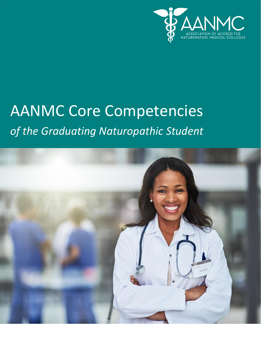

# AANMC Core Competencies *of the Graduating Naturopathic Student*

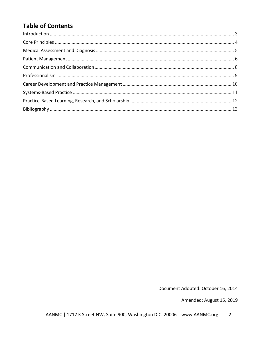# **Table of Contents**

| $\label{eq:1} \mbox{Introduction} \,\, \ldots \,\, \ldots \,\, \ldots \,\, \ldots \,\, \ldots \,\, \ldots \,\, \ldots \,\, \ldots \,\, \ldots \,\, \ldots \,\, \ldots \,\, \ldots \,\, \ldots \,\, \ldots \,\, \ldots \,\, \ldots \,\, \ldots \,\, \ldots \,\, \ldots \,\, \ldots \,\, \ldots \,\, \ldots \,\, \ldots \,\, \ldots \,\, \ldots \,\, \ldots \,\, \ldots \,\, \ldots \,\, \ldots \,\, \ldots \,\, \ldots \,\, \ldots \,\, \ldots \,\, \ldots \,\,$ |  |
|-----------------------------------------------------------------------------------------------------------------------------------------------------------------------------------------------------------------------------------------------------------------------------------------------------------------------------------------------------------------------------------------------------------------------------------------------------------------|--|
|                                                                                                                                                                                                                                                                                                                                                                                                                                                                 |  |
|                                                                                                                                                                                                                                                                                                                                                                                                                                                                 |  |
|                                                                                                                                                                                                                                                                                                                                                                                                                                                                 |  |
|                                                                                                                                                                                                                                                                                                                                                                                                                                                                 |  |
|                                                                                                                                                                                                                                                                                                                                                                                                                                                                 |  |
|                                                                                                                                                                                                                                                                                                                                                                                                                                                                 |  |
|                                                                                                                                                                                                                                                                                                                                                                                                                                                                 |  |
|                                                                                                                                                                                                                                                                                                                                                                                                                                                                 |  |
|                                                                                                                                                                                                                                                                                                                                                                                                                                                                 |  |

Document Adopted: October 16, 2014

Amended: August 15, 2019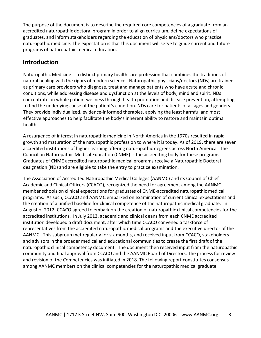The purpose of the document is to describe the required core competencies of a graduate from an accredited naturopathic doctoral program in order to align curriculum, define expectations of graduates, and inform stakeholders regarding the education of physicians/doctors who practice naturopathic medicine. The expectation is that this document will serve to guide current and future programs of naturopathic medical education.

## <span id="page-2-0"></span>**Introduction**

Naturopathic Medicine is a distinct primary health care profession that combines the traditions of natural healing with the rigors of modern science. Naturopathic physicians/doctors (NDs) are trained as primary care providers who diagnose, treat and manage patients who have acute and chronic conditions, while addressing disease and dysfunction at the levels of body, mind and spirit. NDs concentrate on whole patient wellness through health promotion and disease prevention, attempting to find the underlying cause of the patient's condition. NDs care for patients of all ages and genders. They provide individualized, evidence-informed therapies, applying the least harmful and most effective approaches to help facilitate the body's inherent ability to restore and maintain optimal health.

A resurgence of interest in naturopathic medicine in North America in the 1970s resulted in rapid growth and maturation of the naturopathic profession to where it is today. As of 2019, there are seven accredited institutions of higher learning offering naturopathic degrees across North America. The Council on Naturopathic Medical Education (CNME) is the accrediting body for these programs. Graduates of CNME accredited naturopathic medical programs receive a Naturopathic Doctoral designation (ND) and are eligible to take the entry to practice examination.

The Association of Accredited Naturopathic Medical Colleges (AANMC) and its Council of Chief Academic and Clinical Officers (CCACO), recognized the need for agreement among the AANMC member schools on clinical expectations for graduates of CNME-accredited naturopathic medical programs. As such, CCACO and AANMC embarked on examination of current clinical expectations and the creation of a unified baseline for clinical competence of the naturopathic medical graduate. In August of 2012, CCACO agreed to embark on the creation of naturopathic clinical competencies for the accredited institutions. In July 2013, academic and clinical deans from each CNME accredited institution developed a draft document, after which time CCACO convened a taskforce of representatives from the accredited naturopathic medical programs and the executive director of the AANMC. This subgroup met regularly for six months, and received input from CCACO, stakeholders and advisors in the broader medical and educational communities to create the first draft of the naturopathic clinical competency document. The document then received input from the naturopathic community and final approval from CCACO and the AANMC Board of Directors. The process for review and revision of the Competencies was initiated in 2018. The following report constitutes consensus among AANMC members on the clinical competencies for the naturopathic medical graduate.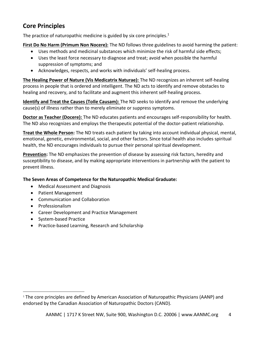# <span id="page-3-0"></span>**Core Principles**

The practice of naturopathic medicine is guided by six core principles.<sup>1</sup>

**First Do No Harm (Primum Non Nocere):** The ND follows three guidelines to avoid harming the patient:

- Uses methods and medicinal substances which minimize the risk of harmful side effects;
- Uses the least force necessary to diagnose and treat; avoid when possible the harmful suppression of symptoms; and
- Acknowledges, respects, and works with individuals' self-healing process.

**The Healing Power of Nature (Vis Medicatrix Naturae):** The ND recognizes an inherent self-healing process in people that is ordered and intelligent. The ND acts to identify and remove obstacles to healing and recovery, and to facilitate and augment this inherent self-healing process.

**Identify and Treat the Causes (ToIle Causam):** The ND seeks to identify and remove the underlying cause(s) of illness rather than to merely eliminate or suppress symptoms.

**Doctor as Teacher (Docere):** The ND educates patients and encourages self-responsibility for health. The ND also recognizes and employs the therapeutic potential of the doctor-patient relationship.

**Treat the Whole Person:** The ND treats each patient by taking into account individual physical, mental, emotional, genetic, environmental, social, and other factors. Since total health also includes spiritual health, the ND encourages individuals to pursue their personal spiritual development.

**Prevention:** The ND emphasizes the prevention of disease by assessing risk factors, heredity and susceptibility to disease, and by making appropriate interventions in partnership with the patient to prevent illness.

## **The Seven Areas of Competence for the Naturopathic Medical Graduate:**

- Medical Assessment and Diagnosis
- Patient Management
- Communication and Collaboration
- Professionalism
- Career Development and Practice Management
- System-based Practice
- Practice-based Learning, Research and Scholarship

 $1$  The core principles are defined by American Association of Naturopathic Physicians (AANP) and endorsed by the Canadian Association of Naturopathic Doctors (CAND).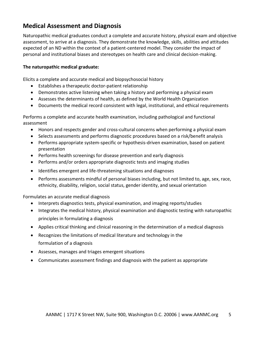## <span id="page-4-0"></span>**Medical Assessment and Diagnosis**

Naturopathic medical graduates conduct a complete and accurate history, physical exam and objective assessment, to arrive at a diagnosis. They demonstrate the knowledge, skills, abilities and attitudes expected of an ND within the context of a patient-centered model. They consider the impact of personal and institutional biases and stereotypes on health care and clinical decision-making.

## **The naturopathic medical graduate:**

Elicits a complete and accurate medical and biopsychosocial history

- Establishes a therapeutic doctor-patient relationship
- Demonstrates active listening when taking a history and performing a physical exam
- Assesses the determinants of health, as defined by the World Health Organization
- Documents the medical record consistent with legal, institutional, and ethical requirements

Performs a complete and accurate health examination, including pathological and functional assessment

- Honors and respects gender and cross-cultural concerns when performing a physical exam
- Selects assessments and performs diagnostic procedures based on a risk/benefit analysis
- Performs appropriate system-specific or hypothesis-driven examination, based on patient presentation
- Performs health screenings for disease prevention and early diagnosis
- Performs and/or orders appropriate diagnostic tests and imaging studies
- Identifies emergent and life-threatening situations and diagnoses
- Performs assessments mindful of personal biases including, but not limited to, age, sex, race, ethnicity, disability, religion, social status, gender identity, and sexual orientation

Formulates an accurate medical diagnosis

- Interprets diagnostics tests, physical examination, and imaging reports/studies
- Integrates the medical history, physical examination and diagnostic testing with naturopathic principles in formulating a diagnosis
- Applies critical thinking and clinical reasoning in the determination of a medical diagnosis
- Recognizes the limitations of medical literature and technology in the formulation of a diagnosis
- Assesses, manages and triages emergent situations
- Communicates assessment findings and diagnosis with the patient as appropriate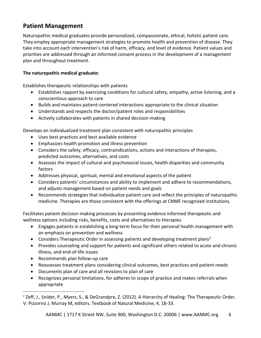# <span id="page-5-0"></span>**Patient Management**

Naturopathic medical graduates provide personalized, compassionate, ethical, holistic patient care. They employ appropriate management strategies to promote health and prevention of disease. They take into account each intervention's risk of harm, efficacy, and level of evidence. Patient values and priorities are addressed through an informed consent process in the development of a management plan and throughout treatment.

## **The naturopathic medical graduate:**

Establishes therapeutic relationships with patients

- Establishes rapport by exercising conditions for cultural safety, empathy, active listening, and a conscientious approach to care
- Builds and maintains patient-centered interactions appropriate to the clinical situation
- Understands and respects the doctor/patient roles and responsibilities
- Actively collaborates with patients in shared decision-making

Develops an individualized treatment plan consistent with naturopathic principles

- Uses best practices and best available evidence
- Emphasizes health promotion and illness prevention
- Considers the safety, efficacy, contraindications, actions and interactions of therapies, predicted outcomes, alternatives, and costs
- Assesses the impact of cultural and psychosocial issues, health disparities and community factors
- Addresses physical, spiritual, mental and emotional aspects of the patient
- Considers patients' circumstances and ability to implement and adhere to recommendations, and adjusts management based on patient needs and goals
- Recommends strategies that individualize patient care and reflect the principles of naturopathic medicine. Therapies are those consistent with the offerings at CNME recognized institutions.

Facilitates patient decision-making processes by presenting evidence informed therapeutic and wellness options including risks, benefits, costs and alternatives to therapies

- Engages patients in establishing a long-term focus for their personal health management with an emphasis on prevention and wellness
- Considers Therapeutic Order in assessing patients and developing treatment plans<sup>2</sup>
- Provides counseling and support for patients and significant others related to acute and chronic illness, and end-of-life issues
- Recommends plan follow-up care
- Reassesses treatment plans considering clinical outcomes, best practices and patient needs
- Documents plan of care and all revisions to plan of care
- Recognizes personal limitations, for adheres to scope of practice and makes referrals when appropriate

 $2$  Zeff, J., Snider, P., Myers, S., & DeGrandpre, Z. (2012). A Hierarchy of Healing: The Therapeutic Order. V: Pizzorno J, Murray M, editors. Textbook of Natural Medicine, 4, 18-33.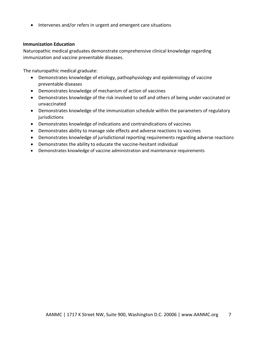• Intervenes and/or refers in urgent and emergent care situations

#### **Immunization Education**

Naturopathic medical graduates demonstrate comprehensive clinical knowledge regarding immunization and vaccine preventable diseases.

The naturopathic medical graduate:

- Demonstrates knowledge of etiology, pathophysiology and epidemiology of vaccine preventable diseases
- Demonstrates knowledge of mechanism of action of vaccines
- Demonstrates knowledge of the risk involved to self and others of being under vaccinated or unvaccinated
- Demonstrates knowledge of the immunization schedule within the parameters of regulatory jurisdictions
- Demonstrates knowledge of indications and contraindications of vaccines
- Demonstrates ability to manage side effects and adverse reactions to vaccines
- Demonstrates knowledge of jurisdictional reporting requirements regarding adverse reactions
- Demonstrates the ability to educate the vaccine-hesitant individual
- Demonstrates knowledge of vaccine administration and maintenance requirements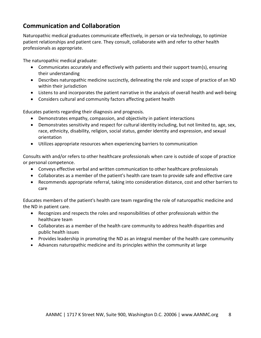## <span id="page-7-0"></span>**Communication and Collaboration**

Naturopathic medical graduates communicate effectively, in person or via technology, to optimize patient relationships and patient care. They consult, collaborate with and refer to other health professionals as appropriate.

The naturopathic medical graduate:

- Communicates accurately and effectively with patients and their support team(s), ensuring their understanding
- Describes naturopathic medicine succinctly, delineating the role and scope of practice of an ND within their jurisdiction
- Listens to and incorporates the patient narrative in the analysis of overall health and well-being
- Considers cultural and community factors affecting patient health

Educates patients regarding their diagnosis and prognosis.

- Demonstrates empathy, compassion, and objectivity in patient interactions
- Demonstrates sensitivity and respect for cultural identity including, but not limited to, age, sex, race, ethnicity, disability, religion, social status, gender identity and expression, and sexual orientation
- Utilizes appropriate resources when experiencing barriers to communication

Consults with and/or refers to other healthcare professionals when care is outside of scope of practice or personal competence.

- Conveys effective verbal and written communication to other healthcare professionals
- Collaborates as a member of the patient's health care team to provide safe and effective care
- Recommends appropriate referral, taking into consideration distance, cost and other barriers to care

Educates members of the patient's health care team regarding the role of naturopathic medicine and the ND in patient care.

- Recognizes and respects the roles and responsibilities of other professionals within the healthcare team
- Collaborates as a member of the health care community to address health disparities and public health issues
- Provides leadership in promoting the ND as an integral member of the health care community
- Advances naturopathic medicine and its principles within the community at large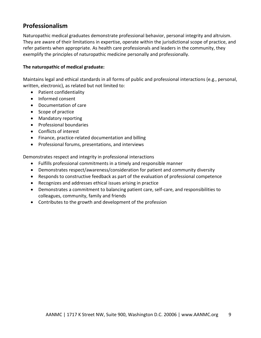## <span id="page-8-0"></span>**Professionalism**

Naturopathic medical graduates demonstrate professional behavior, personal integrity and altruism. They are aware of their limitations in expertise, operate within the jurisdictional scope of practice, and refer patients when appropriate. As health care professionals and leaders in the community, they exemplify the principles of naturopathic medicine personally and professionally.

### **The naturopathic of medical graduate:**

Maintains legal and ethical standards in all forms of public and professional interactions (e.g., personal, written, electronic), as related but not limited to:

- Patient confidentiality
- Informed consent
- Documentation of care
- Scope of practice
- Mandatory reporting
- Professional boundaries
- Conflicts of interest
- Finance, practice-related documentation and billing
- Professional forums, presentations, and interviews

Demonstrates respect and integrity in professional interactions

- Fulfills professional commitments in a timely and responsible manner
- Demonstrates respect/awareness/consideration for patient and community diversity
- Responds to constructive feedback as part of the evaluation of professional competence
- Recognizes and addresses ethical issues arising in practice
- Demonstrates a commitment to balancing patient care, self-care, and responsibilities to colleagues, community, family and friends
- Contributes to the growth and development of the profession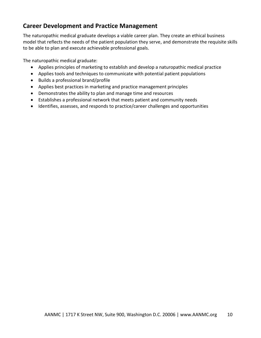## <span id="page-9-0"></span>**Career Development and Practice Management**

The naturopathic medical graduate develops a viable career plan. They create an ethical business model that reflects the needs of the patient population they serve, and demonstrate the requisite skills to be able to plan and execute achievable professional goals.

The naturopathic medical graduate:

- Applies principles of marketing to establish and develop a naturopathic medical practice
- Applies tools and techniques to communicate with potential patient populations
- Builds a professional brand/profile
- Applies best practices in marketing and practice management principles
- Demonstrates the ability to plan and manage time and resources
- Establishes a professional network that meets patient and community needs
- Identifies, assesses, and responds to practice/career challenges and opportunities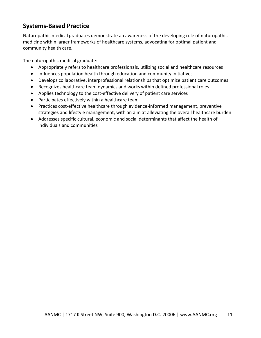## <span id="page-10-0"></span>**Systems-Based Practice**

Naturopathic medical graduates demonstrate an awareness of the developing role of naturopathic medicine within larger frameworks of healthcare systems, advocating for optimal patient and community health care.

The naturopathic medical graduate:

- Appropriately refers to healthcare professionals, utilizing social and healthcare resources
- Influences population health through education and community initiatives
- Develops collaborative, interprofessional relationships that optimize patient care outcomes
- Recognizes healthcare team dynamics and works within defined professional roles
- Applies technology to the cost-effective delivery of patient care services
- Participates effectively within a healthcare team
- Practices cost-effective healthcare through evidence-informed management, preventive strategies and lifestyle management, with an aim at alleviating the overall healthcare burden
- Addresses specific cultural, economic and social determinants that affect the health of individuals and communities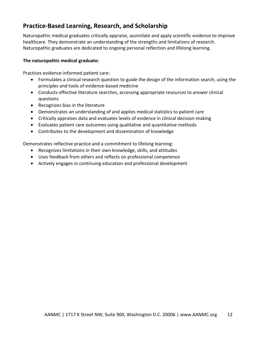## <span id="page-11-0"></span>**Practice-Based Learning, Research, and Scholarship**

Naturopathic medical graduates critically appraise, assimilate and apply scientific evidence to improve healthcare. They demonstrate an understanding of the strengths and limitations of research. Naturopathic graduates are dedicated to ongoing personal reflection and lifelong learning.

## **The naturopathic medical graduate:**

Practices evidence-informed patient care:

- Formulates a clinical research question to guide the design of the information search, using the principles and tools of evidence-based medicine
- Conducts effective literature searches, accessing appropriate resources to answer clinical questions
- Recognizes bias in the literature
- Demonstrates an understanding of and applies medical statistics to patient care
- Critically appraises data and evaluates levels of evidence in clinical decision-making
- Evaluates patient care outcomes using qualitative and quantitative methods
- Contributes to the development and dissemination of knowledge

Demonstrates reflective practice and a commitment to lifelong learning:

- Recognizes limitations in their own knowledge, skills, and attitudes
- Uses feedback from others and reflects on professional competence
- Actively engages in continuing education and professional development